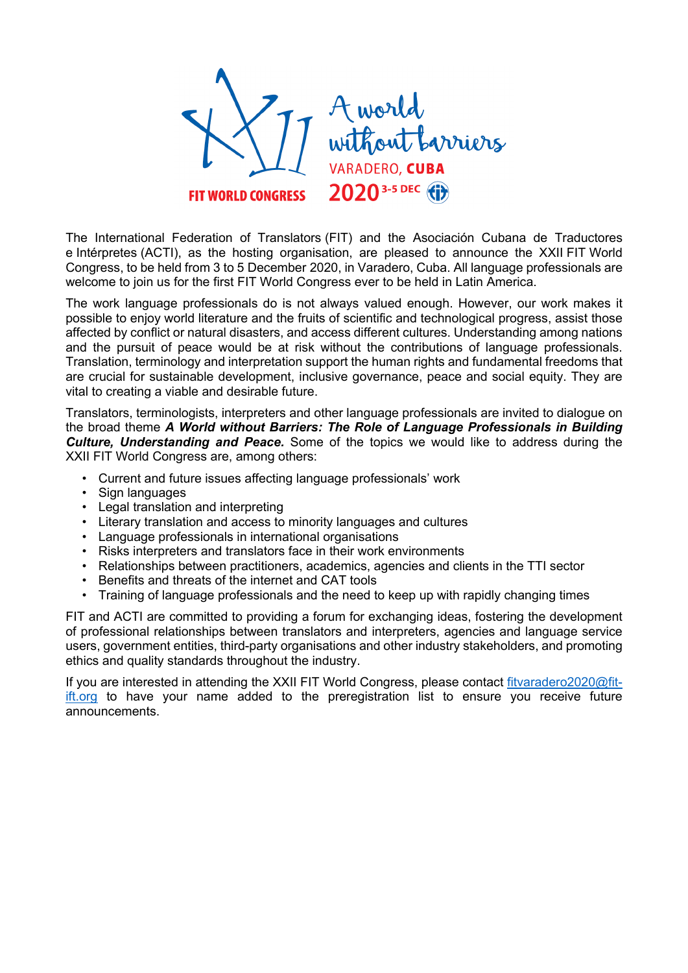

The International Federation of Translators (FIT) and the Asociación Cubana de Traductores e Intérpretes (ACTI), as the hosting organisation, are pleased to announce the XXII FIT World Congress, to be held from 3 to 5 December 2020, in Varadero, Cuba. All language professionals are welcome to join us for the first FIT World Congress ever to be held in Latin America.

The work language professionals do is not always valued enough. However, our work makes it possible to enjoy world literature and the fruits of scientific and technological progress, assist those affected by conflict or natural disasters, and access different cultures. Understanding among nations and the pursuit of peace would be at risk without the contributions of language professionals. Translation, terminology and interpretation support the human rights and fundamental freedoms that are crucial for sustainable development, inclusive governance, peace and social equity. They are vital to creating a viable and desirable future.

Translators, terminologists, interpreters and other language professionals are invited to dialogue on the broad theme *A World without Barriers: The Role of Language Professionals in Building Culture, Understanding and Peace.* Some of the topics we would like to address during the XXII FIT World Congress are, among others:

- Current and future issues affecting language professionals' work
- Sign languages
- Legal translation and interpreting
- Literary translation and access to minority languages and cultures
- Language professionals in international organisations
- Risks interpreters and translators face in their work environments
- Relationships between practitioners, academics, agencies and clients in the TTI sector
- Benefits and threats of the internet and CAT tools
- Training of language professionals and the need to keep up with rapidly changing times

FIT and ACTI are committed to providing a forum for exchanging ideas, fostering the development of professional relationships between translators and interpreters, agencies and language service users, government entities, third-party organisations and other industry stakeholders, and promoting ethics and quality standards throughout the industry.

If you are interested in attending the XXII FIT World Congress, please contact fitvaradero2020@fitift.org to have your name added to the preregistration list to ensure you receive future announcements.